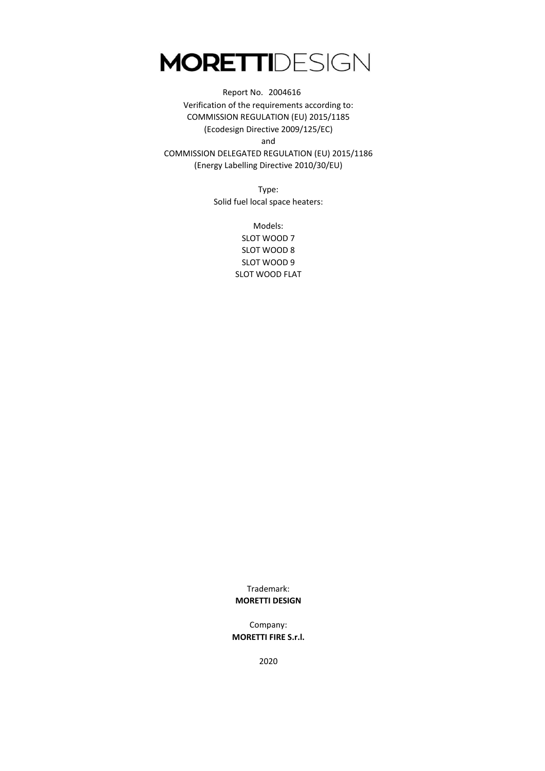and COMMISSION DELEGATED REGULATION (EU) 2015/1186 (Energy Labelling Directive 2010/30/EU) Report No. 2004616 Verification of the requirements according to: COMMISSION REGULATION (EU) 2015/1185 (Ecodesign Directive 2009/125/EC)

> Type: Solid fuel local space heaters:

> > Models: SLOT WOOD 7 SLOT WOOD 8 SLOT WOOD 9 SLOT WOOD FLAT

> > Trademark: **MORETTI DESIGN**

Company: **MORETTI FIRE S.r.l.**

2020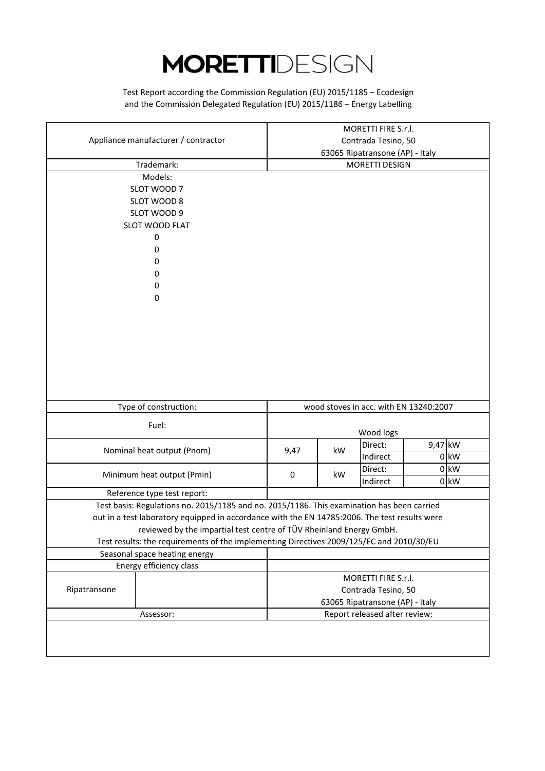and the Commission Delegated Regulation (EU) 2015/1186 – Energy Labelling Test Report according the Commission Regulation (EU) 2015/1185 – Ecodesign

|                                                                                               |                                 |                                 | MORETTI FIRE S.r.l.                    |           |        |  |
|-----------------------------------------------------------------------------------------------|---------------------------------|---------------------------------|----------------------------------------|-----------|--------|--|
| Appliance manufacturer / contractor                                                           |                                 | Contrada Tesino, 50             |                                        |           |        |  |
|                                                                                               |                                 | 63065 Ripatransone (AP) - Italy |                                        |           |        |  |
| Trademark:                                                                                    |                                 | MORETTI DESIGN                  |                                        |           |        |  |
| Models:                                                                                       |                                 |                                 |                                        |           |        |  |
| SLOT WOOD 7                                                                                   |                                 |                                 |                                        |           |        |  |
| SLOT WOOD 8                                                                                   |                                 |                                 |                                        |           |        |  |
| SLOT WOOD 9                                                                                   |                                 |                                 |                                        |           |        |  |
| SLOT WOOD FLAT                                                                                |                                 |                                 |                                        |           |        |  |
| 0                                                                                             |                                 |                                 |                                        |           |        |  |
| 0                                                                                             |                                 |                                 |                                        |           |        |  |
| 0                                                                                             |                                 |                                 |                                        |           |        |  |
| 0                                                                                             |                                 |                                 |                                        |           |        |  |
| 0                                                                                             |                                 |                                 |                                        |           |        |  |
| 0                                                                                             |                                 |                                 |                                        |           |        |  |
|                                                                                               |                                 |                                 |                                        |           |        |  |
|                                                                                               |                                 |                                 |                                        |           |        |  |
|                                                                                               |                                 |                                 |                                        |           |        |  |
|                                                                                               |                                 |                                 |                                        |           |        |  |
|                                                                                               |                                 |                                 |                                        |           |        |  |
|                                                                                               |                                 |                                 |                                        |           |        |  |
|                                                                                               |                                 |                                 |                                        |           |        |  |
|                                                                                               |                                 |                                 |                                        |           |        |  |
| Type of construction:                                                                         |                                 |                                 | wood stoves in acc. with EN 13240:2007 |           |        |  |
|                                                                                               |                                 |                                 |                                        |           |        |  |
| Fuel:                                                                                         |                                 |                                 |                                        |           |        |  |
|                                                                                               |                                 |                                 | Wood logs<br>Direct:                   | $9,47$ kW |        |  |
| Nominal heat output (Pnom)                                                                    | 9,47                            | kW                              | Indirect                               |           | $0$ kW |  |
|                                                                                               |                                 |                                 |                                        |           |        |  |
| Minimum heat output (Pmin)                                                                    | 0                               | kW                              | Direct:                                |           | $0$ kW |  |
|                                                                                               |                                 |                                 | Indirect                               |           | $0$ kW |  |
| Reference type test report:                                                                   |                                 |                                 |                                        |           |        |  |
| Test basis: Regulations no. 2015/1185 and no. 2015/1186. This examination has been carried    |                                 |                                 |                                        |           |        |  |
| out in a test laboratory equipped in accordance with the EN 14785:2006. The test results were |                                 |                                 |                                        |           |        |  |
| reviewed by the impartial test centre of TÜV Rheinland Energy GmbH.                           |                                 |                                 |                                        |           |        |  |
| Test results: the requirements of the implementing Directives 2009/125/EC and 2010/30/EU      |                                 |                                 |                                        |           |        |  |
| Seasonal space heating energy                                                                 |                                 |                                 |                                        |           |        |  |
| Energy efficiency class                                                                       |                                 |                                 |                                        |           |        |  |
|                                                                                               |                                 | MORETTI FIRE S.r.l.             |                                        |           |        |  |
| Ripatransone                                                                                  |                                 | Contrada Tesino, 50             |                                        |           |        |  |
|                                                                                               | 63065 Ripatransone (AP) - Italy |                                 |                                        |           |        |  |
| Assessor:                                                                                     |                                 |                                 | Report released after review:          |           |        |  |
|                                                                                               |                                 |                                 |                                        |           |        |  |
|                                                                                               |                                 |                                 |                                        |           |        |  |
|                                                                                               |                                 |                                 |                                        |           |        |  |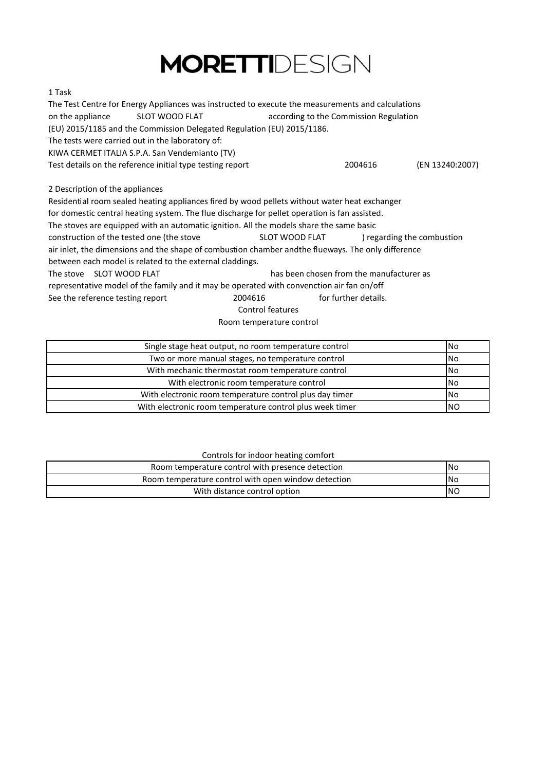#### 1 Task

The Test Centre for Energy Appliances was instructed to execute the measurements and calculations on the appliance SLOT WOOD FLAT according to the Commission Regulation (EU) 2015/1185 and the Commission Delegated Regulation (EU) 2015/1186. KIWA CERMET ITALIA S.P.A. San Vendemianto (TV) Test details on the reference initial type testing report 2004616 (EN 13240:2007) The tests were carried out in the laboratory of:

2 Description of the appliances

Residential room sealed heating appliances fired by wood pellets without water heat exchanger

for domestic central heating system. The flue discharge for pellet operation is fan assisted.

The stoves are equipped with an automatic ignition. All the models share the same basic

construction of the tested one (the stove SLOT WOOD FLAT ) regarding the combustion SLOT WOOD FLAT

air inlet, the dimensions and the shape of combustion chamber and the flueways. The only difference

between each model is related to the external claddings.

The stove SLOT WOOD FLAT has been chosen from the manufacturer as representative model of the family and it may be operated with convenction air fan on/off See the reference testing report 2004616 for further details.

Control features

Room temperature control

| Single stage heat output, no room temperature control    | <b>No</b>  |
|----------------------------------------------------------|------------|
| Two or more manual stages, no temperature control        | <b>No</b>  |
| With mechanic thermostat room temperature control        | <b>No</b>  |
| With electronic room temperature control                 | <b>INo</b> |
| With electronic room temperature control plus day timer  | <b>No</b>  |
| With electronic room temperature control plus week timer | INO        |

#### Controls for indoor heating comfort

| Room temperature control with presence detection    | <b>INo</b> |
|-----------------------------------------------------|------------|
| Room temperature control with open window detection | INo        |
| With distance control option                        | INO        |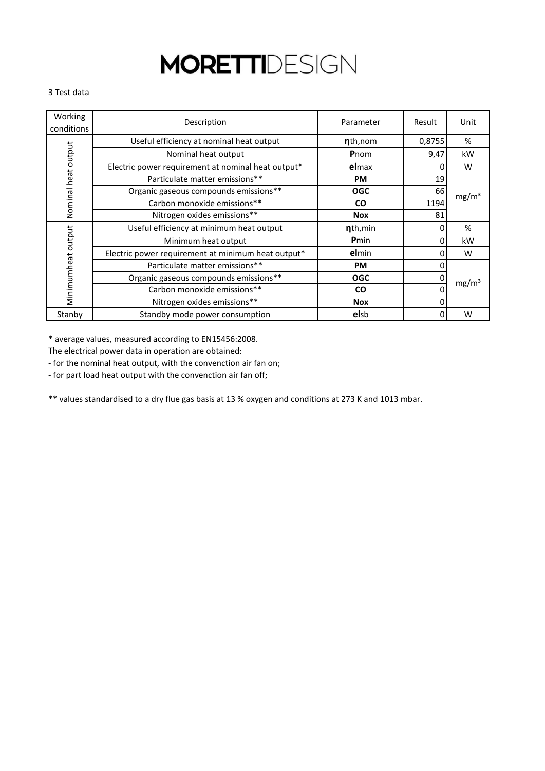#### 3 Test data

| Working<br>conditions | Description                                        | Parameter            | Result | Unit              |
|-----------------------|----------------------------------------------------|----------------------|--------|-------------------|
|                       | Useful efficiency at nominal heat output           | nth,nom              | 0,8755 | %                 |
|                       | Nominal heat output                                | Pnom                 | 9,47   | kW                |
|                       | Electric power requirement at nominal heat output* | elmax                | 0      | W                 |
|                       | Particulate matter emissions**                     | <b>PM</b>            | 19     |                   |
|                       | Organic gaseous compounds emissions**              | <b>OGC</b>           | 66     | mg/m <sup>3</sup> |
| Nominal heat output   | Carbon monoxide emissions**                        | <b>CO</b>            | 1194   |                   |
|                       | Nitrogen oxides emissions**                        | <b>Nox</b>           | 81     |                   |
|                       | Useful efficiency at minimum heat output           | n <sub>th, min</sub> | 0      | %                 |
|                       | Minimum heat output                                | Pmin                 | 0      | kW                |
|                       | Electric power requirement at minimum heat output* | elmin                | በ      | W                 |
| Minimumheat output    | Particulate matter emissions**                     | <b>PM</b>            |        |                   |
|                       | Organic gaseous compounds emissions**              | <b>OGC</b>           |        | mg/m <sup>3</sup> |
|                       | Carbon monoxide emissions**                        | <b>CO</b>            |        |                   |
|                       | Nitrogen oxides emissions**                        | <b>Nox</b>           | C      |                   |
| Stanby                | Standby mode power consumption                     | <b>elsb</b>          | 0      | W                 |

\* average values, measured according to EN15456:2008.

The electrical power data in operation are obtained:

- for the nominal heat output, with the convenction air fan on;

- for part load heat output with the convenction air fan off;

\*\* values standardised to a dry flue gas basis at 13 % oxygen and conditions at 273 K and 1013 mbar.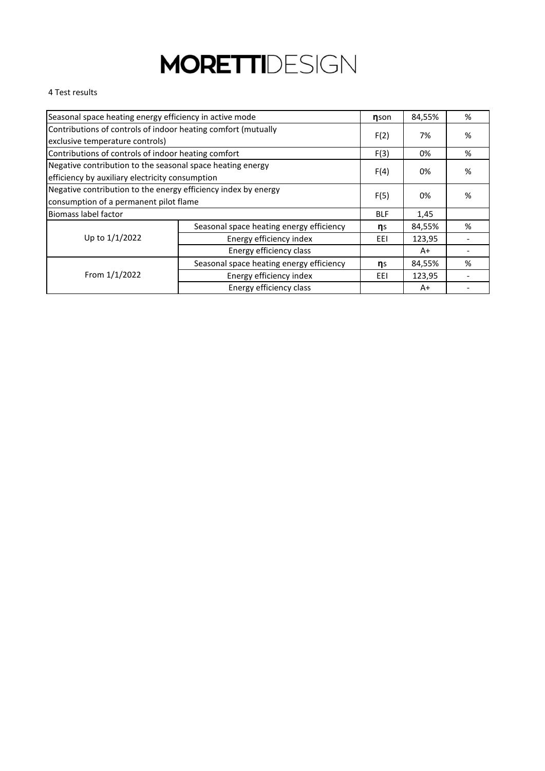#### 4 Test results

| Seasonal space heating energy efficiency in active mode                                                       |                                          |            | 84,55% | % |
|---------------------------------------------------------------------------------------------------------------|------------------------------------------|------------|--------|---|
| Contributions of controls of indoor heating comfort (mutually<br>exclusive temperature controls)              |                                          | F(2)       | 7%     | % |
| Contributions of controls of indoor heating comfort                                                           |                                          | F(3)       | 0%     | % |
| Negative contribution to the seasonal space heating energy<br>efficiency by auxiliary electricity consumption |                                          | F(4)       | 0%     | % |
| Negative contribution to the energy efficiency index by energy<br>consumption of a permanent pilot flame      |                                          | F(5)       | 0%     | % |
| <b>Biomass label factor</b>                                                                                   |                                          | <b>BLF</b> | 1,45   |   |
|                                                                                                               | Seasonal space heating energy efficiency | ηs         | 84,55% | % |
| Up to 1/1/2022                                                                                                | Energy efficiency index                  | EEI        | 123,95 |   |
| Energy efficiency class                                                                                       |                                          |            | A+     |   |
|                                                                                                               | Seasonal space heating energy efficiency | ηs         | 84,55% | % |
| From 1/1/2022                                                                                                 | Energy efficiency index                  | EEI        | 123,95 |   |
|                                                                                                               | Energy efficiency class                  |            | A+     |   |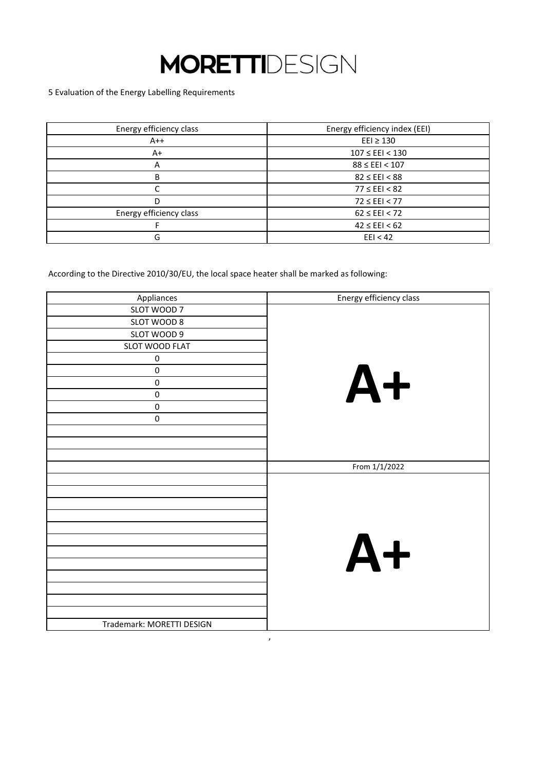5 Evaluation of the Energy Labelling Requirements

| Energy efficiency class | Energy efficiency index (EEI) |
|-------------------------|-------------------------------|
| $A++$                   | $E E I \ge 130$               |
| $A+$                    | $107 \leq EEI < 130$          |
| A                       | $88 \leq EEI < 107$           |
| B                       | $82 \leq EEI < 88$            |
|                         | $77 \le$ EEI < 82             |
| D                       | $72 \leq EEI < 77$            |
| Energy efficiency class | $62 \leq EEI < 72$            |
|                         | $42 \leq EEI < 62$            |
| G                       | EEl < 42                      |

According to the Directive 2010/30/EU, the local space heater shall be marked as following:

| Appliances                | Energy efficiency class |
|---------------------------|-------------------------|
| SLOT WOOD 7               |                         |
| SLOT WOOD 8               |                         |
| SLOT WOOD 9               |                         |
| SLOT WOOD FLAT            |                         |
| $\pmb{0}$                 |                         |
| $\pmb{0}$                 | $A+$                    |
| $\pmb{0}$                 |                         |
| $\pmb{0}$                 |                         |
| $\pmb{0}$                 |                         |
| $\pmb{0}$                 |                         |
|                           |                         |
|                           |                         |
|                           |                         |
|                           | From 1/1/2022           |
|                           |                         |
|                           |                         |
|                           |                         |
|                           |                         |
|                           |                         |
|                           | $A+$                    |
|                           |                         |
|                           |                         |
|                           |                         |
|                           |                         |
|                           |                         |
|                           |                         |
| Trademark: MORETTI DESIGN |                         |

,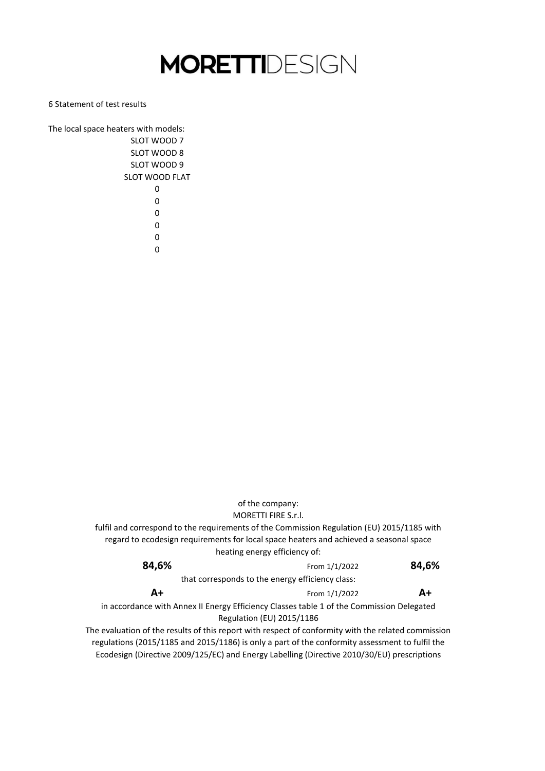6 Statement of test results

The local space heaters with models: SLOT WOOD 7 SLOT WOOD 8 SLOT WOOD 9 SLOT WOOD FLAT 0 0  $\Omega$  $\Omega$ 0

0

**A+** Ecodesign (Directive 2009/125/EC) and Energy Labelling (Directive 2010/30/EU) prescriptions that corresponds to the energy efficiency class: in accordance with Annex II Energy Efficiency Classes table 1 of the Commission Delegated Regulation (EU) 2015/1186 The evaluation of the results of this report with respect of conformity with the related commission regulations (2015/1185 and 2015/1186) is only a part of the conformity assessment to fulfil the of the company: **84,6% A+** From 1/1/2022 From 1/1/2022 **84,6%** MORETTI FIRE S.r.l. fulfil and correspond to the requirements of the Commission Regulation (EU) 2015/1185 with regard to ecodesign requirements for local space heaters and achieved a seasonal space heating energy efficiency of: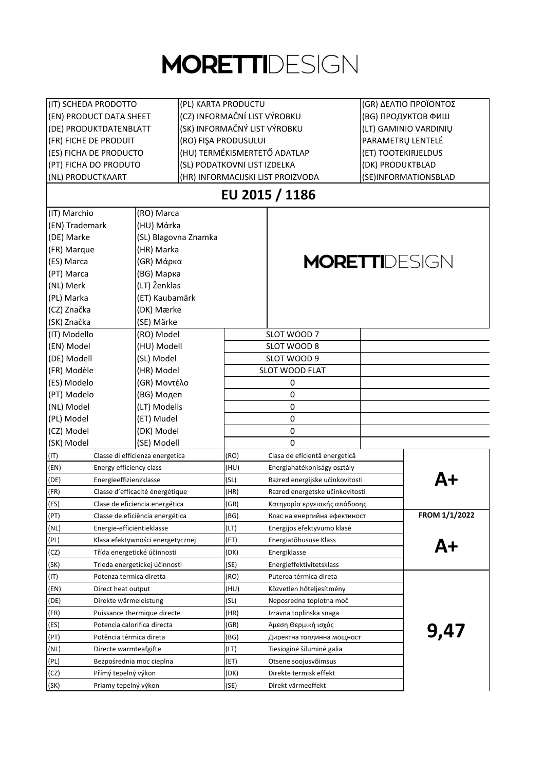| (IT) SCHEDA PRODOTTO<br>(PL) KARTA PRODUCTU            |                                  |                              |                                   | (GR) ΔΕΛΤΙΟ ΠΡΟΪΟΝΤΟΣ |               |
|--------------------------------------------------------|----------------------------------|------------------------------|-----------------------------------|-----------------------|---------------|
| (EN) PRODUCT DATA SHEET                                |                                  | (CZ) INFORMAČNÍ LIST VÝROBKU |                                   | (BG) ПРОДУКТОВ ФИШ    |               |
| (DE) PRODUKTDATENBLATT                                 |                                  | (SK) INFORMAČNÝ LIST VÝROBKU |                                   | (LT) GAMINIO VARDINIU |               |
| (FR) FICHE DE PRODUIT<br>(RO) FIŞA PRODUSULUI          |                                  |                              | PARAMETRŲ LENTELÉ                 |                       |               |
| (HU) TERMÉKISMERTETŐ ADATLAP<br>(ES) FICHA DE PRODUCTO |                                  |                              | (ET) TOOTEKIRJELDUS               |                       |               |
| (PT) FICHA DO PRODUTO<br>(SL) PODATKOVNI LIST IZDELKA  |                                  |                              |                                   | (DK) PRODUKTBLAD      |               |
| (NL) PRODUCTKAART                                      |                                  |                              | (HR) INFORMACIJSKI LIST PROIZVODA | (SE)INFORMATIONSBLAD  |               |
|                                                        |                                  |                              | EU 2015 / 1186                    |                       |               |
| (IT) Marchio                                           | (RO) Marca                       |                              |                                   |                       |               |
| (EN) Trademark                                         | (HU) Márka                       |                              |                                   |                       |               |
| (DE) Marke                                             | (SL) Blagovna Znamka             |                              |                                   |                       |               |
| (FR) Marque                                            | (HR) Marka                       |                              |                                   |                       |               |
| (ES) Marca                                             | (GR) Μάρκα                       |                              | <b>MORETTI</b> DESIGN             |                       |               |
| (PT) Marca                                             | (BG) Марка                       |                              |                                   |                       |               |
| (NL) Merk                                              | (LT) Ženklas                     |                              |                                   |                       |               |
| (PL) Marka                                             | (ET) Kaubamärk                   |                              |                                   |                       |               |
| (CZ) Značka                                            | (DK) Mærke                       |                              |                                   |                       |               |
| (SK) Značka                                            | (SE) Märke                       |                              |                                   |                       |               |
| (IT) Modello                                           | (RO) Model                       |                              | SLOT WOOD 7                       |                       |               |
| (EN) Model                                             | (HU) Modell                      |                              | SLOT WOOD 8                       |                       |               |
| (DE) Modell                                            | (SL) Model                       |                              | SLOT WOOD 9                       |                       |               |
| (FR) Modèle                                            | (HR) Model                       |                              | SLOT WOOD FLAT                    |                       |               |
| (ES) Modelo                                            | (GR) Μοντέλο                     |                              |                                   |                       |               |
| (PT) Modelo                                            |                                  |                              | 0<br>0                            |                       |               |
| (NL) Model                                             | (BG) Модеп<br>(LT) Modelis       |                              | 0                                 |                       |               |
| (PL) Model                                             | (ET) Mudel                       |                              | 0                                 |                       |               |
|                                                        |                                  |                              |                                   |                       |               |
| (CZ) Model<br>(SK) Model                               | (DK) Model                       |                              | 0                                 |                       |               |
|                                                        | (SE) Modell                      |                              | 0                                 |                       |               |
| (TI)                                                   | Classe di efficienza energetica  | (RO)                         | Clasa de eficientă energetică     |                       |               |
| (EN)<br>Energy efficiency class                        |                                  | (HU)                         | Energiahatékoniságy osztály       |                       |               |
| (DE)<br>Energieeffizienzklasse                         |                                  | (SL)                         | Razred energijske učinkovitosti   |                       | Д+            |
| (FR)                                                   | Classe d'efficacité énergétique  | (HR)                         | Razred energetske učinkovitosti   |                       |               |
| (ES)                                                   | Clase de eficiencia energética   | (GR)                         | Κατηγορία εργειακής απόδοσης      |                       | FROM 1/1/2022 |
| (PT)                                                   | Classe de eficiência energética  | (BG)                         | Клас на енергийна ефектиност      |                       |               |
| (NL)<br>Energie-efficiëntieklasse                      |                                  | (LT)                         | Energijos efektyvumo klasė        |                       |               |
| (PL)                                                   | Klasa efektywności energetycznej | (ET)                         | Energiatõhususe Klass             |                       |               |
| (CZ)                                                   | Třída energetické účinnosti      | (DK)                         | Energiklasse                      |                       |               |
| (SK)                                                   | Trieda energetickej účinnosti    | (SE)                         | Energieffektivitetsklass          |                       |               |
| (TI)<br>Potenza termica diretta                        |                                  | (RO)                         | Puterea térmica direta            |                       |               |
| (EN)<br>Direct heat output                             |                                  | (HU)                         | Közvetlen hőteljesítmény          |                       |               |
| (DE)<br>Direkte wärmeleistung                          |                                  | (SL)                         | Neposredna toplotna moč           |                       |               |
| (FR)                                                   | Puissance thermique directe      | (HR)                         | Izravna toplinska snaga           |                       |               |
| (ES)<br>Potencia calorifica directa                    |                                  | (GR)                         | Άμεση Θερμική ισχύς               |                       | 9,47          |
| (PT)<br>Potência térmica direta                        |                                  | (BG)                         | Директна топлинна мощност         |                       |               |
| (NL)<br>Directe warmteafgifte                          |                                  | (LT)                         | Tiesioginė šiluminė galia         |                       |               |
| (PL)<br>Bezpośrednia moc cieplna                       |                                  | (ET)                         | Otsene soojusvõimsus              |                       |               |
| (CZ)<br>Přímý tepelný výkon                            |                                  | (DK)                         | Direkte termisk effekt            |                       |               |
| (SK)<br>Priamy tepelný výkon                           |                                  | (SE)                         | Direkt värmeeffekt                |                       |               |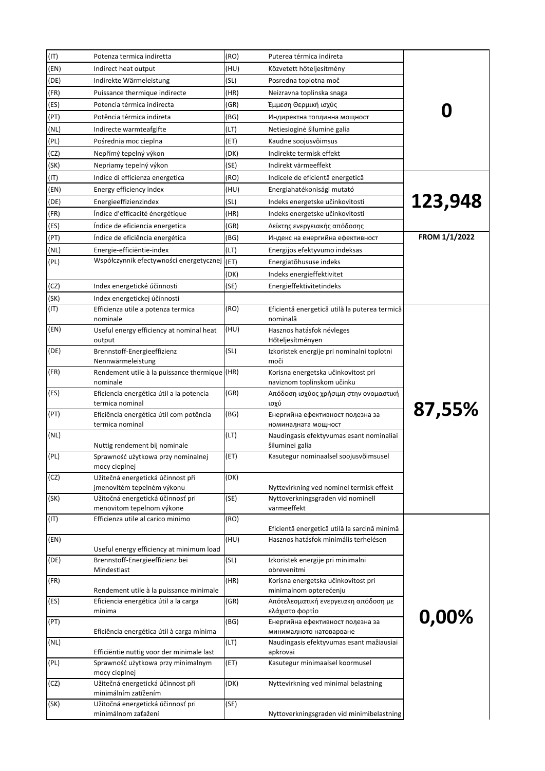| (IT) | Potenza termica indiretta                                                            | (RO) | Puterea térmica indireta                                                      |               |
|------|--------------------------------------------------------------------------------------|------|-------------------------------------------------------------------------------|---------------|
| (EN) | Indirect heat output                                                                 | (HU) | Közvetett hőteljesítmény                                                      |               |
| (DE) | Indirekte Wärmeleistung                                                              | (SL) | Posredna toplotna moč                                                         |               |
| (FR) | Puissance thermique indirecte                                                        | (HR) | Neizravna toplinska snaga                                                     |               |
| (ES) | Potencia térmica indirecta                                                           | (GR) | Έμμεση Θερμική ισχύς                                                          |               |
| (PT) | Potência térmica indireta                                                            | (BG) | Индиректна топлинна мощност                                                   |               |
| (NL) | Indirecte warmteafgifte                                                              | (LT) | Netiesioginė šiluminė galia                                                   |               |
| (PL) | Pośrednia moc cieplna                                                                | (ET) | Kaudne soojusvõimsus                                                          |               |
| (CZ) | Nepřímý tepelný výkon                                                                | (DK) | Indirekte termisk effekt                                                      |               |
| (SK) | Nepriamy tepelný výkon                                                               | (SE) | Indirekt värmeeffekt                                                          |               |
| (IT) | Indice di efficienza energetica                                                      | (RO) | Indicele de eficientă energetică                                              |               |
| (EN) | Energy efficiency index                                                              | (HU) | Energiahatékonisági mutató                                                    |               |
| (DE) | Energieeffizienzindex                                                                | (SL) | Indeks energetske učinkovitosti                                               | 123,948       |
| (FR) | Indice d'efficacité énergétique                                                      | (HR) | Indeks energetske učinkovitosti                                               |               |
| (ES) | Índice de eficiencia energetica                                                      | (GR) | Δείκτης ενεργειακής απόδοσης                                                  |               |
| (PT) | Indice de eficiência energética                                                      | (BG) | Индекс на енергийна ефективност                                               | FROM 1/1/2022 |
| (NL) | Energie-efficiëntie-index                                                            | (LT) | Energijos efektyvumo indeksas                                                 |               |
| (PL) | Współczynnik efectywności energetycznej                                              | (ET) | Energiatõhususe indeks                                                        |               |
|      |                                                                                      | (DK) | Indeks energieffektivitet                                                     |               |
| (CZ) | Index energetické účinnosti                                                          | (SE) | Energieffektivitetindeks                                                      |               |
| (SK) | Index energetickej účinnosti                                                         |      |                                                                               |               |
| (TI) | Efficienza utile a potenza termica<br>nominale                                       | (RO) | Eficientă energetică utilă la puterea termică<br>nominală                     |               |
| (EN) | Useful energy efficiency at nominal heat<br>output                                   | (HU) | Hasznos hatásfok névleges<br>Hőteljesítményen                                 |               |
| (DE) | Brennstoff-Energieeffizienz<br>Nennwärmeleistung                                     | (SL) | Izkoristek energije pri nominalni toplotni<br>moči                            |               |
| (FR) | Rendement utile à la puissance thermique (HR)<br>nominale                            |      | Korisna energetska učinkovitost pri<br>naviznom toplinskom učinku             |               |
| (ES) | Eficiencia energética útil a la potencia<br>termica nominal                          | (GR) | Απόδοση ισχύος χρήσιμη στην ονομαστική<br>ισχύ                                |               |
| (PT) | Eficiência energética útil com potência<br>termica nominal                           | (BG) | Енергийна ефективност полезна за<br>номиналната мощност                       | 87,55%        |
| (NL) |                                                                                      | (LT) | Naudingasis efektyvumas esant nominaliai                                      |               |
| (PL) | Nuttig rendement bij nominale<br>Sprawność użytkowa przy nominalnej<br>mocy cieplnej | (ET) | šiluminei galia<br>Kasutegur nominaalsel soojusvõimsusel                      |               |
| (CZ) | Užitečná energetická účinnost při                                                    | (DK) |                                                                               |               |
| (SK) | jmenovitém tepelném výkonu<br>Užitočná energetická účinnosť pri                      | (SE) | Nyttevirkning ved nominel termisk effekt<br>Nyttoverkningsgraden vid nominell |               |
|      | menovitom tepelnom výkone                                                            |      | värmeeffekt                                                                   |               |
| (TI) | Efficienza utile al carico minimo                                                    | (RO) | Eficientă energetică utilă la sarcină minimă                                  |               |
| (EN) |                                                                                      | (HU) | Hasznos hatásfok minimális terhelésen                                         |               |
| (DE) | Useful energy efficiency at minimum load<br>Brennstoff-Energieeffizienz bei          | (SL) | Izkoristek energije pri minimalni                                             |               |
| (FR) | Mindestlast                                                                          | (HR) | obrevenitmi<br>Korisna energetska učinkovitost pri                            |               |
|      | Rendement utile à la puissance minimale                                              |      | minimalnom opterećenju                                                        |               |
| (ES) | Eficiencia energética útil a la carga<br>mínima                                      | (GR) | Απότελεσματική ενεργειακη απόδοση με<br>ελάχιστο φορτίο                       | 0,00%         |
| (PT) | Eficiência energética útil à carga mínima                                            | (BG) | Енергийна ефективност полезна за<br>минималното натоварване                   |               |
| (NL) | Efficiëntie nuttig voor der minimale last                                            | (LT) | Naudingasis efektyvumas esant mažiausiai<br>apkrovai                          |               |
| (PL) | Sprawność użytkowa przy minimalnym<br>mocy cieplnej                                  | (ET) | Kasutegur minimaalsel koormusel                                               |               |
| (CZ) | Užitečná energetická účinnost při<br>minimálním zatížením                            | (DK) | Nyttevirkning ved minimal belastning                                          |               |
| (SK) | Užitočná energetická účinnosť pri<br>minimálnom zaťažení                             | (SE) | Nyttoverkningsgraden vid minimibelastning                                     |               |